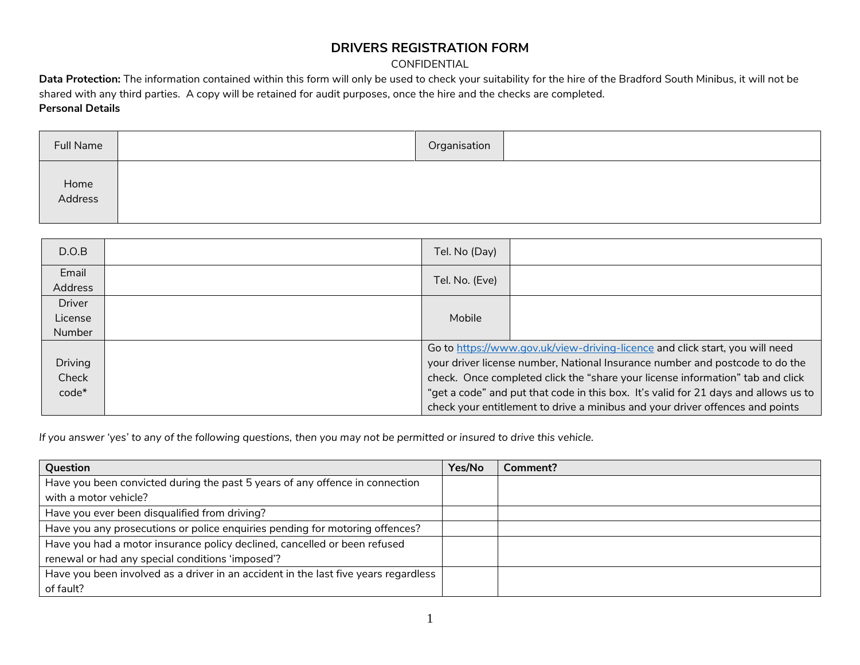## **DRIVERS REGISTRATION FORM**

## CONFIDENTIAL

**Data Protection:** The information contained within this form will only be used to check your suitability for the hire of the Bradford South Minibus, it will not be shared with any third parties. A copy will be retained for audit purposes, once the hire and the checks are completed. **Personal Details**

| Full Name       | Organisation |  |
|-----------------|--------------|--|
| Home<br>Address |              |  |

| D.O.B            | Tel. No (Day)                                                                       |  |  |
|------------------|-------------------------------------------------------------------------------------|--|--|
| Email<br>Address | Tel. No. (Eve)                                                                      |  |  |
| <b>Driver</b>    |                                                                                     |  |  |
| License          | Mobile                                                                              |  |  |
| <b>Number</b>    |                                                                                     |  |  |
|                  | Go to https://www.gov.uk/view-driving-licence and click start, you will need        |  |  |
| Driving          | your driver license number, National Insurance number and postcode to do the        |  |  |
| Check            | check. Once completed click the "share your license information" tab and click      |  |  |
| $code*$          | "get a code" and put that code in this box. It's valid for 21 days and allows us to |  |  |
|                  | check your entitlement to drive a minibus and your driver offences and points       |  |  |

*If you answer 'yes' to any of the following questions, then you may not be permitted or insured to drive this vehicle.*

| Question                                                                            | Yes/No | Comment? |
|-------------------------------------------------------------------------------------|--------|----------|
| Have you been convicted during the past 5 years of any offence in connection        |        |          |
| with a motor vehicle?                                                               |        |          |
| Have you ever been disqualified from driving?                                       |        |          |
| Have you any prosecutions or police enquiries pending for motoring offences?        |        |          |
| Have you had a motor insurance policy declined, cancelled or been refused           |        |          |
| renewal or had any special conditions 'imposed'?                                    |        |          |
| Have you been involved as a driver in an accident in the last five years regardless |        |          |
| of fault?                                                                           |        |          |